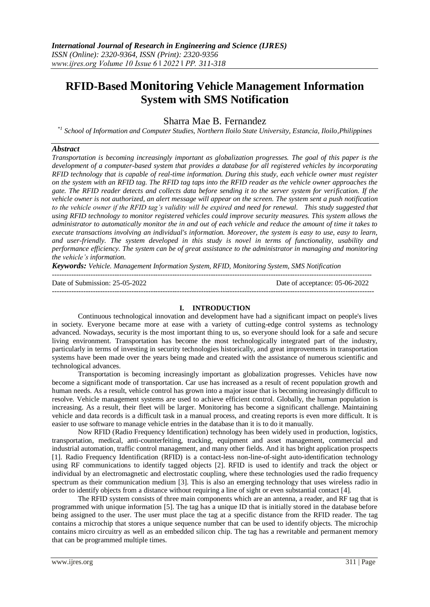# **RFID-Based Monitoring Vehicle Management Information System with SMS Notification**

Sharra Mae B. Fernandez

*\*1 School of Information and Computer Studies, Northern Iloilo State University, Estancia, Iloilo,Philippines*

## *Abstract*

*Transportation is becoming increasingly important as globalization progresses. The goal of this paper is the development of a computer-based system that provides a database for all registered vehicles by incorporating RFID technology that is capable of real-time information. During this study, each vehicle owner must register on the system with an RFID tag. The RFID tag taps into the RFID reader as the vehicle owner approaches the gate. The RFID reader detects and collects data before sending it to the server system for verification. If the vehicle owner is not authorized, an alert message will appear on the screen. The system sent a push notification to the vehicle owner if the RFID tag's validity will be expired and need for renewal. This study suggested that using RFID technology to monitor registered vehicles could improve security measures. This system allows the administrator to automatically monitor the in and out of each vehicle and reduce the amount of time it takes to execute transactions involving an individual's information. Moreover, the system is easy to use, easy to learn, and user-friendly. The system developed in this study is novel in terms of functionality, usability and performance efficiency. The system can be of great assistance to the administrator in managing and monitoring the vehicle's information.*

*Keywords: Vehicle. Management Information System, RFID, Monitoring System, SMS Notification*

------------------------------------------------------------------------------------------------------------------------------------- Date of Submission: 25-05-2022 Date of acceptance: 05-06-2022 --------------------------------------------------------------------------------------------------------------------------------------

### **I. INTRODUCTION**

Continuous technological innovation and development have had a significant impact on people's lives in society. Everyone became more at ease with a variety of cutting-edge control systems as technology advanced. Nowadays, security is the most important thing to us, so everyone should look for a safe and secure living environment. Transportation has become the most technologically integrated part of the industry, particularly in terms of investing in security technologies historically, and great improvements in transportation systems have been made over the years being made and created with the assistance of numerous scientific and technological advances.

Transportation is becoming increasingly important as globalization progresses. Vehicles have now become a significant mode of transportation. Car use has increased as a result of recent population growth and human needs. As a result, vehicle control has grown into a major issue that is becoming increasingly difficult to resolve. Vehicle management systems are used to achieve efficient control. Globally, the human population is increasing. As a result, their fleet will be larger. Monitoring has become a significant challenge. Maintaining vehicle and data records is a difficult task in a manual process, and creating reports is even more difficult. It is easier to use software to manage vehicle entries in the database than it is to do it manually.

Now RFID (Radio Frequency Identification) technology has been widely used in production, logistics, transportation, medical, anti-counterfeiting, tracking, equipment and asset management, commercial and industrial automation, traffic control management, and many other fields. And it has bright application prospects [1]. Radio Frequency Identification (RFID) is a contact-less non-line-of-sight auto-identification technology using RF communications to identify tagged objects [2]. RFID is used to identify and track the object or individual by an electromagnetic and electrostatic coupling, where these technologies used the radio frequency spectrum as their communication medium [3]. This is also an emerging technology that uses wireless radio in order to identify objects from a distance without requiring a line of sight or even substantial contact [4].

The RFID system consists of three main components which are an antenna, a reader, and RF tag that is programmed with unique information [5]. The tag has a unique ID that is initially stored in the database before being assigned to the user. The user must place the tag at a specific distance from the RFID reader. The tag contains a microchip that stores a unique sequence number that can be used to identify objects. The microchip contains micro circuitry as well as an embedded silicon chip. The tag has a rewritable and permanent memory that can be programmed multiple times.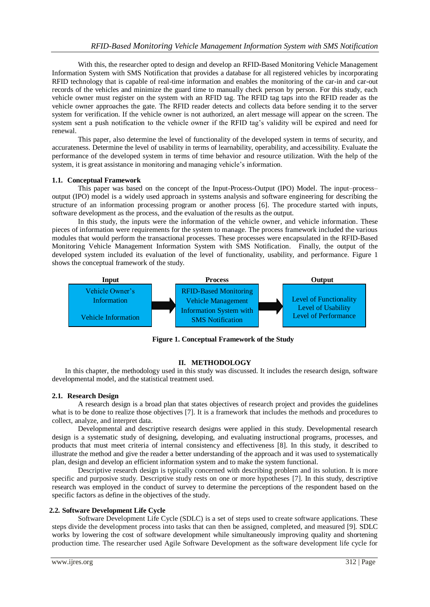With this, the researcher opted to design and develop an RFID-Based Monitoring Vehicle Management Information System with SMS Notification that provides a database for all registered vehicles by incorporating RFID technology that is capable of real-time information and enables the monitoring of the car-in and car-out records of the vehicles and minimize the guard time to manually check person by person. For this study, each vehicle owner must register on the system with an RFID tag. The RFID tag taps into the RFID reader as the vehicle owner approaches the gate. The RFID reader detects and collects data before sending it to the server system for verification. If the vehicle owner is not authorized, an alert message will appear on the screen. The system sent a push notification to the vehicle owner if the RFID tag's validity will be expired and need for renewal.

This paper, also determine the level of functionality of the developed system in terms of security, and accurateness. Determine the level of usability in terms of learnability, operability, and accessibility. Evaluate the performance of the developed system in terms of time behavior and resource utilization. With the help of the system, it is great assistance in monitoring and managing vehicle's information.

### **1.1. Conceptual Framework**

This paper was based on the concept of the Input-Process-Output (IPO) Model. The input–process– output (IPO) model is a widely used approach in systems analysis and software engineering for describing the structure of an information processing program or another process [6]. The procedure started with inputs, software development as the process, and the evaluation of the results as the output.

In this study, the inputs were the information of the vehicle owner, and vehicle information. These pieces of information were requirements for the system to manage. The process framework included the various modules that would perform the transactional processes. These processes were encapsulated in the RFID-Based Monitoring Vehicle Management Information System with SMS Notification. Finally, the output of the developed system included its evaluation of the level of functionality, usability, and performance. Figure 1 shows the conceptual framework of the study.



**Figure 1. Conceptual Framework of the Study**

### **II. METHODOLOGY**

In this chapter, the methodology used in this study was discussed. It includes the research design, software developmental model, and the statistical treatment used.

### **2.1. Research Design**

A research design is a broad plan that states objectives of research project and provides the guidelines what is to be done to realize those objectives [7]. It is a framework that includes the methods and procedures to collect, analyze, and interpret data.

Developmental and descriptive research designs were applied in this study. Developmental research design is a systematic study of designing, developing, and evaluating instructional programs, processes, and products that must meet criteria of internal consistency and effectiveness [8]. In this study, it described to illustrate the method and give the reader a better understanding of the approach and it was used to systematically plan, design and develop an efficient information system and to make the system functional.

Descriptive research design is typically concerned with describing problem and its solution. It is more specific and purposive study. Descriptive study rests on one or more hypotheses [7]. In this study, descriptive research was employed in the conduct of survey to determine the perceptions of the respondent based on the specific factors as define in the objectives of the study.

### **2.2. Software Development Life Cycle**

Software Development Life Cycle (SDLC) is a set of steps used to create software applications. These steps divide the development process into tasks that can then be assigned, completed, and measured [9]. SDLC works by lowering the cost of software development while simultaneously improving quality and shortening production time. The researcher used Agile Software Development as the software development life cycle for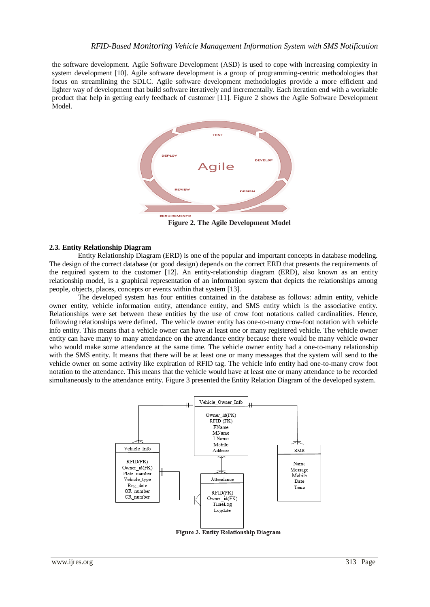the software development. Agile Software Development (ASD) is used to cope with increasing complexity in system development [10]. Agile software development is a group of programming-centric methodologies that focus on streamlining the SDLC. Agile software development methodologies provide a more efficient and lighter way of development that build software iteratively and incrementally. Each iteration end with a workable product that help in getting early feedback of customer [11]. Figure 2 shows the Agile Software Development Model.



 **Figure 2. The Agile Development Model**

# **2.3. Entity Relationship Diagram**

Entity Relationship Diagram (ERD) is one of the popular and important concepts in database modeling. The design of the correct database (or good design) depends on the correct ERD that presents the requirements of the required system to the customer [12]. An entity-relationship diagram (ERD), also known as an entity relationship model, is a graphical representation of an information system that depicts the relationships among people, objects, places, concepts or events within that system [13].

The developed system has four entities contained in the database as follows: admin entity, vehicle owner entity, vehicle information entity, attendance entity, and SMS entity which is the associative entity. Relationships were set between these entities by the use of crow foot notations called cardinalities. Hence, following relationships were defined. The vehicle owner entity has one-to-many crow-foot notation with vehicle info entity. This means that a vehicle owner can have at least one or many registered vehicle. The vehicle owner entity can have many to many attendance on the attendance entity because there would be many vehicle owner who would make some attendance at the same time. The vehicle owner entity had a one-to-many relationship with the SMS entity. It means that there will be at least one or many messages that the system will send to the vehicle owner on some activity like expiration of RFID tag. The vehicle info entity had one-to-many crow foot notation to the attendance. This means that the vehicle would have at least one or many attendance to be recorded simultaneously to the attendance entity. Figure 3 presented the Entity Relation Diagram of the developed system.



Figure 3. Entity Relationship Diagram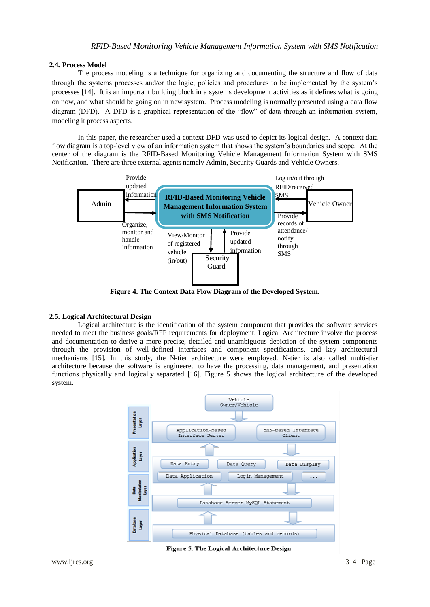# **2.4. Process Model**

The process modeling is a technique for organizing and documenting the structure and flow of data through the systems processes and/or the logic, policies and procedures to be implemented by the system's processes [14]. It is an important building block in a systems development activities as it defines what is going on now, and what should be going on in new system. Process modeling is normally presented using a data flow diagram (DFD). A DFD is a graphical representation of the "flow" of data through an information system, modeling it process aspects.

In this paper, the researcher used a context DFD was used to depict its logical design. A context data flow diagram is a top-level view of an information system that shows the system's boundaries and scope. At the center of the diagram is the RFID-Based Monitoring Vehicle Management Information System with SMS Notification. There are three external agents namely Admin, Security Guards and Vehicle Owners.



**Figure 4. The Context Data Flow Diagram of the Developed System.**

# **2.5. Logical Architectural Design**

[Logical architecture](https://www.lawinsider.com/dictionary/logical-architecture) is the identification of the system component that provides the software services needed to meet the business goals/RFP requirements for deployment. Logical Architecture involve the process and documentation to derive a more precise, detailed and unambiguous depiction of the system components through the provision of well-defined interfaces and component specifications, and key architectural mechanisms [15]. In this study, the N-tier architecture were employed. N-tier is also called multi-tier architecture because the software is engineered to have the processing, data management, and presentation functions physically and logically separated [16]. Figure 5 shows the logical architecture of the developed system.



Figure 5. The Logical Architecture Design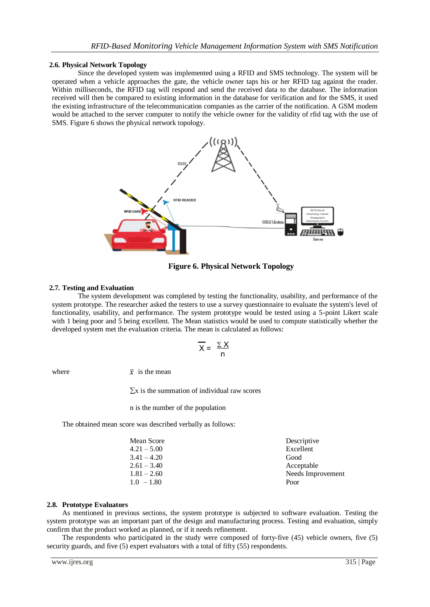## **2.6. Physical Network Topology**

Since the developed system was implemented using a RFID and SMS technology. The system will be operated when a vehicle approaches the gate, the vehicle owner taps his or her RFID tag against the reader. Within milliseconds, the RFID tag will respond and send the received data to the database. The information received will then be compared to existing information in the database for verification and for the SMS, it used the existing infrastructure of the telecommunication companies as the carrier of the notification. A GSM modem would be attached to the server computer to notify the vehicle owner for the validity of rfid tag with the use of SMS. Figure 6 shows the physical network topology.



**Figure 6. Physical Network Topology**

## **2.7. Testing and Evaluation**

The system development was completed by testing the functionality, usability, and performance of the system prototype. The researcher asked the testers to use a survey questionnaire to evaluate the system's level of functionality, usability, and performance. The system prototype would be tested using a 5-point Likert scale with 1 being poor and 5 being excellent. The Mean statistics would be used to compute statistically whether the developed system met the evaluation criteria. The mean is calculated as follows:

$$
\overline{X} = \frac{\sum X}{n}
$$

where  $\overline{x}$  is the mean

 $\Sigma$ x is the summation of individual raw scores

n is the number of the population

The obtained mean score was described verbally as follows:

| Mean Score    | Descriptive       |
|---------------|-------------------|
| $4.21 - 5.00$ | Excellent         |
| $3.41 - 4.20$ | Good              |
| $2.61 - 3.40$ | Acceptable        |
| $1.81 - 2.60$ | Needs Improvement |
| $1.0 - 1.80$  | Poor              |
|               |                   |

### **2.8. Prototype Evaluators**

As mentioned in previous sections, the system prototype is subjected to software evaluation. Testing the system prototype was an important part of the design and manufacturing process. Testing and evaluation, simply confirm that the product worked as planned, or if it needs refinement.

The respondents who participated in the study were composed of forty-five (45) vehicle owners, five (5) security guards, and five (5) expert evaluators with a total of fifty (55) respondents.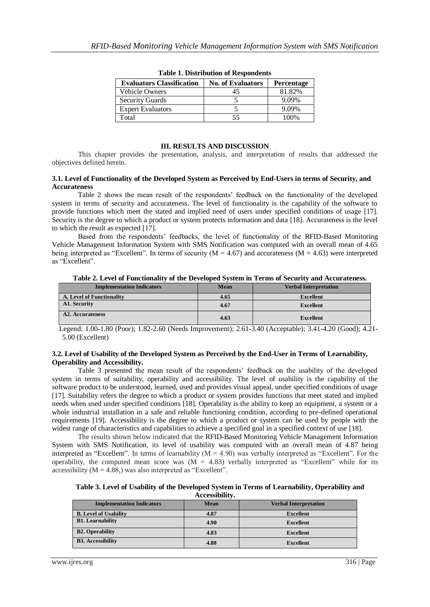| <b>Evaluators Classification</b> | <b>No. of Evaluators</b> | <b>Percentage</b> |
|----------------------------------|--------------------------|-------------------|
| Vehicle Owners                   |                          | 81.82%            |
| <b>Security Guards</b>           |                          | 9.09%             |
| <b>Expert Evaluators</b>         |                          | 9.09%             |
| Fotal                            | 55                       | 100%              |

|  |  | <b>Table 1. Distribution of Respondents</b> |  |
|--|--|---------------------------------------------|--|
|--|--|---------------------------------------------|--|

### **III. RESULTS AND DISCUSSION**

This chapter provides the presentation, analysis, and interpretation of results that addressed the objectives defined herein.

#### **3.1. Level of Functionality of the Developed System as Perceived by End-Users in terms of Security, and Accurateness**

Table 2 shows the mean result of the respondents' feedback on the functionality of the developed system in terms of security and accurateness. The level of functionality is the capability of the software to provide functions which meet the stated and implied need of users under specified conditions of usage [17]. Security is the degree to which a product or system protects information and data [18]. Accurateness is the level to which the result as expected [17].

Based from the respondents' feedbacks, the level of functionality of the RFID-Based Monitoring Vehicle Management Information System with SMS Notification was computed with an overall mean of 4.65 being interpreted as "Excellent". In terms of security ( $M = 4.67$ ) and accurateness ( $M = 4.63$ ) were interpreted as "Excellent".

| Table 2. Level of Functionality of the Developed System in Terms of Security and Accurateness. |             |                              |
|------------------------------------------------------------------------------------------------|-------------|------------------------------|
| <b>Implementation Indicators</b>                                                               | <b>Mean</b> | <b>Verbal Interpretation</b> |
| A. Level of Functionality                                                                      | 4.65        | <b>Excellent</b>             |
| A1. Security                                                                                   | 4.67        | <b>Excellent</b>             |
| <b>A2. Accurateness</b>                                                                        | 4.63        | <b>Excellent</b>             |

**Table 2. Level of Functionality of the Developed System in Terms of Security and Accurateness.**

 Legend: 1.00-1.80 (Poor); 1.82-2.60 (Needs Improvement); 2.61-3.40 (Acceptable); 3.41-4.20 (Good); 4.21- 5.00 (Excellent)

#### **3.2. Level of Usability of the Developed System as Perceived by the End-User in Terms of Learnability, Operability and Accessibility.**

Table 3 presented the mean result of the respondents' feedback on the usability of the developed system in terms of suitability, operability and accessibility. The level of usability is the capability of the software product to be understood, learned, used and provides visual appeal, under specified conditions of usage [17]. Suitability refers the degree to which a product or system provides functions that meet stated and implied needs when used under specified conditions [18]. Operability is the ability to keep an equipment, a system or a whole industrial installation in a safe and reliable functioning condition, according to pre-defined operational requirements [19]. Accessibility is the degree to which a product or system can be used by people with the widest range of characteristics and capabilities to achieve a specified goal in a specified context of use [18].

The results shown below indicated that the RFID-Based Monitoring Vehicle Management Information System with SMS Notification, its level of usability was computed with an overall mean of 4.87 being interpreted as "Excellent". In terms of learnability  $(M = 4.90)$  was verbally interpreted as "Excellent". For the operability, the computed mean score was  $(M = 4.83)$  verbally interpreted as "Excellent" while for its accessibility  $(M = 4.88)$ , was also interpreted as "Excellent".

#### **Table 3. Level of Usability of the Developed System in Terms of Learnability, Operability and Accessibility.**

| <b>Implementation Indicators</b> | <b>Mean</b> | <b>Verbal Interpretation</b> |  |
|----------------------------------|-------------|------------------------------|--|
| <b>B.</b> Level of Usability     | 4.87        | <b>Excellent</b>             |  |
| <b>B1.</b> Learnability          | 4.90        | <b>Excellent</b>             |  |
| <b>B2. Operability</b>           | 4.83        | <b>Excellent</b>             |  |
| <b>B3. Accessibility</b>         | 4.88        | <b>Excellent</b>             |  |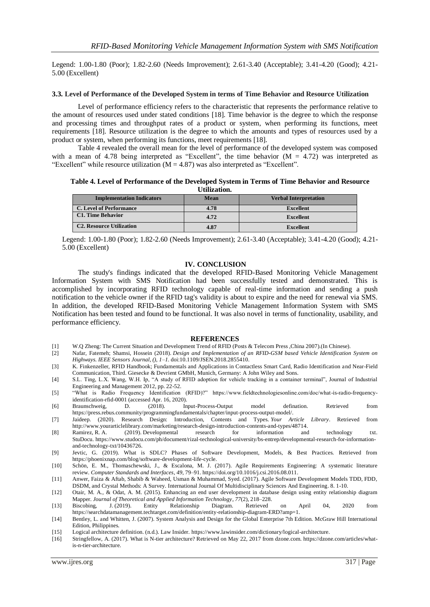Legend: 1.00-1.80 (Poor); 1.82-2.60 (Needs Improvement); 2.61-3.40 (Acceptable); 3.41-4.20 (Good); 4.21- 5.00 (Excellent)

#### **3.3. Level of Performance of the Developed System in terms of Time Behavior and Resource Utilization**

Level of performance efficiency refers to the characteristic that represents the performance relative to the amount of resources used under stated conditions [18]. Time behavior is the degree to which the response and processing times and throughput rates of a product or system, when performing its functions, meet requirements [18]. Resource utilization is the degree to which the amounts and types of resources used by a product or system, when performing its functions, meet requirements [18].

Table 4 revealed the overall mean for the level of performance of the developed system was composed with a mean of 4.78 being interpreted as "Excellent", the time behavior  $(M = 4.72)$  was interpreted as "Excellent" while resource utilization  $(M = 4.87)$  was also interpreted as "Excellent".

**Table 4. Level of Performance of the Developed System in Terms of Time Behavior and Resource Utilization.**

| <b>Implementation Indicators</b> | Mean | <b>Verbal Interpretation</b> |
|----------------------------------|------|------------------------------|
| <b>C. Level of Performance</b>   | 4.78 | <b>Excellent</b>             |
| <b>C1. Time Behavior</b>         | 4.72 | Excellent                    |
| C2. Resource Utilization         | 4.87 | <b>Excellent</b>             |

Legend: 1.00-1.80 (Poor); 1.82-2.60 (Needs Improvement); 2.61-3.40 (Acceptable); 3.41-4.20 (Good); 4.21- 5.00 (Excellent)

#### **IV. CONCLUSION**

The study's findings indicated that the developed RFID-Based Monitoring Vehicle Management Information System with SMS Notification had been successfully tested and demonstrated. This is accomplished by incorporating RFID technology capable of real-time information and sending a push notification to the vehicle owner if the RFID tag's validity is about to expire and the need for renewal via SMS. In addition, the developed RFID-Based Monitoring Vehicle Management Information System with SMS Notification has been tested and found to be functional. It was also novel in terms of functionality, usability, and performance efficiency.

#### **REFERENCES**

- [1] W.Q Zheng: The Current Situation and Development Trend of RFID (Posts & Telecom Press ,China 2007).(In Chinese).
- [2] Nafar, Fatemeh; Shamsi, Hossein (2018). *Design and Implementation of an RFID-GSM based Vehicle Identification System on Highways. IEEE Sensors Journal, (), 1–1.* doi:10.1109/JSEN.2018.2855410.
- [3] K. Finkenzeller, RFID Handbook; Fundamentals and Applications in Contactless Smart Card, Radio Identification and Near-Field Communication, Third. Giesecke & Devrient GMbH, Munich, Germany: A John Wiley and Sons.
- [4] S.L. Ting, L.X. Wang, W.H. Ip, "A study of RFID adoption for vehicle tracking in a container terminal", Journal of Industrial Engineering and Management 2012, pp. 22-52.
- [5] "What is Radio Frequency Identification (RFID)?" https://www.fieldtechnologiesonline.com/doc/what-is-radio-frequencyidentification-rfid-0001 (accessed Apr. 16, 2020).
- [6] Braunschweig, D. (2018). Input-Process-Output model defination. Retrieved fro[m](https://press.rebus.community/programmingfundamentals/chapter/input-process-output-model/)  [https://press.rebus.community/programmingfundamentals/chapter/input-process-output-model/.](https://press.rebus.community/programmingfundamentals/chapter/input-process-output-model/)
- [7] Jaideep. (2020). Research Design: Introduction, Contents and Types. *Your Article Library*. Retrieved from [http://www.yourarticlelibrary.com/marketing/research-design-introduction-contents-and-types/48714.](http://www.yourarticlelibrary.com/marketing/research-design-introduction-contents-and-types/48714)
- [8] Ramirez, R. A. (2019). Developmental research for information and technology txt. StuDocu. [https://www.studocu.com/ph/document/rizal-technological-university/bs-entrep/developmental-research-for-information](https://www.studocu.com/ph/document/rizal-technological-university/bs-entrep/developmental-research-for-information-and-technology-txt/10436726)[and-technology-txt/10436726.](https://www.studocu.com/ph/document/rizal-technological-university/bs-entrep/developmental-research-for-information-and-technology-txt/10436726)
- [9] Jevtic, G. (2019). What is SDLC? Phases of Software Development, Models, & Best Practices. Retrieved from [https://phoenixnap.com/blog/software-development-life-cycle.](https://phoenixnap.com/blog/software-development-life-cycle)
- [10] Schön, E. M., Thomaschewski, J., & Escalona, M. J. (2017). Agile Requirements Engineering: A systematic literature review. *Computer Standards and Interfaces*, *49*, 79–91[. https://doi.org/10.1016/j.csi.2016.08.011.](https://doi.org/10.1016/j.csi.2016.08.011)
- [11] Anwer, Faiza & Aftab, Shabib & Waheed, Usman & Muhammad, Syed. (2017). Agile Software Development Models TDD, FDD, DSDM, and Crystal Methods: A Survey. International Journal Of Multidisciplinary Sciences And Engineering. 8. 1-10.
- [12] Otair, M. A., & Odat, A. M. (2015). Enhancing an end user development in database design using entity relationship diagram Mapper. *Journal of Theoretical and Applied Information Technology*, *77*(2), 218–228.
- [13] Biscobing, J. (2019). Entity Relationship Diagram. Retrieved on April 04, 2020 from [https://searchdatamanagement.techtarget.com/definition/entity-relationship-diagram-ERD?amp=1.](https://searchdatamanagement.techtarget.com/definition/entity-relationship-diagram-ERD?amp=1)
- [14] Bentley, L. and Whitten, J. (2007). System Analysis and Design for the Global Enterprise 7th Edition. McGraw Hill International Edition, Philippines.
- [15] Logical architecture definition. (n.d.). Law Insider. [https://www.lawinsider.com/dictionary/logical-architecture.](https://www.lawinsider.com/dictionary/logical-architecture)
- [16] Stringfellow, A. (2017). What is N-tier architecture? Retrieved on May 22, 2017 from dzone.com. [https://dzone.com/articles/what](https://dzone.com/articles/what-is-n-tier-architecture)[is-n-tier-architecture.](https://dzone.com/articles/what-is-n-tier-architecture)